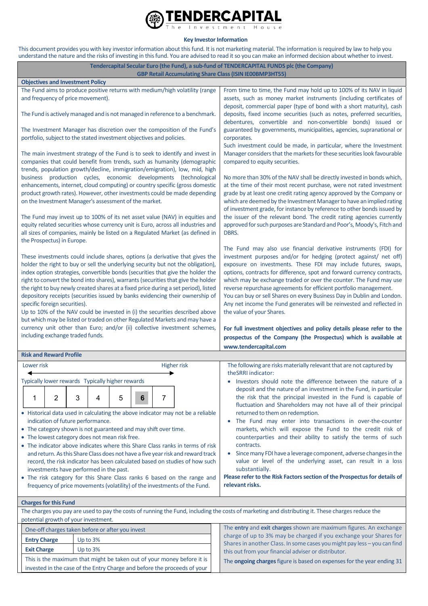

## **Key Investor Information**

This document provides you with key investor information about this fund. It is not marketing material. The information is required by law to help you understand the nature and the risks of investing in this fund. You are advised to read it so you can make an informed decision about whether to invest.

| Tendercapital Secular Euro (the Fund), a sub-fund of TENDERCAPITAL FUNDS plc (the Company)<br><b>GBP Retail Accumulating Share Class (ISIN IE00BMP3HT55)</b>                                                                                                                                                                                                                                                                                                                                                                                                                                                                                                                                                                                                                                  |                                                                                                                                                   |                                                                                                                                                                                                                                                                                                                                                                                                                                                                                                                                                                                                                                                                                                                                                                           |  |  |  |  |  |  |
|-----------------------------------------------------------------------------------------------------------------------------------------------------------------------------------------------------------------------------------------------------------------------------------------------------------------------------------------------------------------------------------------------------------------------------------------------------------------------------------------------------------------------------------------------------------------------------------------------------------------------------------------------------------------------------------------------------------------------------------------------------------------------------------------------|---------------------------------------------------------------------------------------------------------------------------------------------------|---------------------------------------------------------------------------------------------------------------------------------------------------------------------------------------------------------------------------------------------------------------------------------------------------------------------------------------------------------------------------------------------------------------------------------------------------------------------------------------------------------------------------------------------------------------------------------------------------------------------------------------------------------------------------------------------------------------------------------------------------------------------------|--|--|--|--|--|--|
| <b>Objectives and Investment Policy</b>                                                                                                                                                                                                                                                                                                                                                                                                                                                                                                                                                                                                                                                                                                                                                       |                                                                                                                                                   |                                                                                                                                                                                                                                                                                                                                                                                                                                                                                                                                                                                                                                                                                                                                                                           |  |  |  |  |  |  |
| The Fund aims to produce positive returns with medium/high volatility (range                                                                                                                                                                                                                                                                                                                                                                                                                                                                                                                                                                                                                                                                                                                  |                                                                                                                                                   | From time to time, the Fund may hold up to 100% of its NAV in liquid                                                                                                                                                                                                                                                                                                                                                                                                                                                                                                                                                                                                                                                                                                      |  |  |  |  |  |  |
| and frequency of price movement).                                                                                                                                                                                                                                                                                                                                                                                                                                                                                                                                                                                                                                                                                                                                                             |                                                                                                                                                   | assets, such as money market instruments (including certificates of<br>deposit, commercial paper (type of bond with a short maturity), cash                                                                                                                                                                                                                                                                                                                                                                                                                                                                                                                                                                                                                               |  |  |  |  |  |  |
| The Fund is actively managed and is not managed in reference to a benchmark.                                                                                                                                                                                                                                                                                                                                                                                                                                                                                                                                                                                                                                                                                                                  |                                                                                                                                                   | deposits, fixed income securities (such as notes, preferred securities,<br>debentures, convertible and non-convertible bonds) issued or                                                                                                                                                                                                                                                                                                                                                                                                                                                                                                                                                                                                                                   |  |  |  |  |  |  |
| The Investment Manager has discretion over the composition of the Fund's<br>portfolio, subject to the stated investment objectives and policies.                                                                                                                                                                                                                                                                                                                                                                                                                                                                                                                                                                                                                                              |                                                                                                                                                   | guaranteed by governments, municipalities, agencies, supranational or<br>corporates.                                                                                                                                                                                                                                                                                                                                                                                                                                                                                                                                                                                                                                                                                      |  |  |  |  |  |  |
| The main investment strategy of the Fund is to seek to identify and invest in<br>companies that could benefit from trends, such as humanity (demographic<br>trends, population growth/decline, immigration/emigration), low, mid, high<br>business production cycles, economic developments (technological<br>enhancements, internet, cloud computing) or country specific (gross domestic<br>product growth rates). However, other investments could be made depending<br>on the Investment Manager's assessment of the market.                                                                                                                                                                                                                                                              |                                                                                                                                                   | Such investment could be made, in particular, where the Investment<br>Manager considers that the markets for these securities look favourable<br>compared to equity securities.<br>No more than 30% of the NAV shall be directly invested in bonds which,<br>at the time of their most recent purchase, were not rated investment<br>grade by at least one credit rating agency approved by the Company or<br>which are deemed by the Investment Manager to have an implied rating<br>of investment grade, for instance by reference to other bonds issued by<br>the issuer of the relevant bond. The credit rating agencies currently<br>approved for such purposes are Standard and Poor's, Moody's, Fitch and<br>DBRS.                                                 |  |  |  |  |  |  |
| The Fund may invest up to 100% of its net asset value (NAV) in equities and<br>equity related securities whose currency unit is Euro, across all industries and<br>all sizes of companies, mainly be listed on a Regulated Market (as defined in<br>the Prospectus) in Europe.                                                                                                                                                                                                                                                                                                                                                                                                                                                                                                                |                                                                                                                                                   |                                                                                                                                                                                                                                                                                                                                                                                                                                                                                                                                                                                                                                                                                                                                                                           |  |  |  |  |  |  |
| These investments could include shares, options (a derivative that gives the<br>holder the right to buy or sell the underlying security but not the obligation),<br>index option strategies, convertible bonds (securities that give the holder the<br>right to convert the bond into shares), warrants (securities that give the holder<br>the right to buy newly created shares at a fixed price during a set period), listed<br>depository receipts (securities issued by banks evidencing their ownership of<br>specific foreign securities).<br>Up to 10% of the NAV could be invested in (i) the securities described above<br>but which may be listed or traded on other Regulated Markets and may have a<br>currency unit other than Euro; and/or (ii) collective investment schemes, |                                                                                                                                                   | The Fund may also use financial derivative instruments (FDI) for<br>investment purposes and/or for hedging (protect against/ net off)<br>exposure on investments. These FDI may include futures, swaps,<br>options, contracts for difference, spot and forward currency contracts,<br>which may be exchange traded or over the counter. The Fund may use<br>reverse repurchase agreements for efficient portfolio management.<br>You can buy or sell Shares on every Business Day in Dublin and London.<br>Any net income the Fund generates will be reinvested and reflected in<br>the value of your Shares.<br>For full investment objectives and policy details please refer to the                                                                                    |  |  |  |  |  |  |
| including exchange traded funds.                                                                                                                                                                                                                                                                                                                                                                                                                                                                                                                                                                                                                                                                                                                                                              |                                                                                                                                                   | prospectus of the Company (the Prospectus) which is available at                                                                                                                                                                                                                                                                                                                                                                                                                                                                                                                                                                                                                                                                                                          |  |  |  |  |  |  |
|                                                                                                                                                                                                                                                                                                                                                                                                                                                                                                                                                                                                                                                                                                                                                                                               |                                                                                                                                                   | www.tendercapital.com                                                                                                                                                                                                                                                                                                                                                                                                                                                                                                                                                                                                                                                                                                                                                     |  |  |  |  |  |  |
| <b>Risk and Reward Profile</b>                                                                                                                                                                                                                                                                                                                                                                                                                                                                                                                                                                                                                                                                                                                                                                |                                                                                                                                                   |                                                                                                                                                                                                                                                                                                                                                                                                                                                                                                                                                                                                                                                                                                                                                                           |  |  |  |  |  |  |
| Lower risk<br><b>Higher risk</b>                                                                                                                                                                                                                                                                                                                                                                                                                                                                                                                                                                                                                                                                                                                                                              |                                                                                                                                                   | The following are risks materially relevant that are not captured by<br>theSRRI indicator:                                                                                                                                                                                                                                                                                                                                                                                                                                                                                                                                                                                                                                                                                |  |  |  |  |  |  |
| Typically lower rewards Typically higher rewards<br>2<br>3<br>7<br>5<br>1<br>4<br>6<br>• Historical data used in calculating the above indicator may not be a reliable<br>indication of future performance.<br>• The category shown is not guaranteed and may shift over time.<br>• The lowest category does not mean risk free.<br>• The indicator above indicates where this Share Class ranks in terms of risk<br>and return. As this Share Class does not have a five year risk and reward track<br>record, the risk indicator has been calculated based on studies of how such<br>investments have performed in the past.<br>• The risk category for this Share Class ranks 6 based on the range and<br>frequency of price movements (volatility) of the investments of the Fund.        |                                                                                                                                                   | Investors should note the difference between the nature of a<br>deposit and the nature of an investment in the Fund, in particular<br>the risk that the principal invested in the Fund is capable of<br>fluctuation and Shareholders may not have all of their principal<br>returned to them on redemption.<br>The Fund may enter into transactions in over-the-counter<br>markets, which will expose the Fund to the credit risk of<br>counterparties and their ability to satisfy the terms of such<br>contracts.<br>Since many FDI have a leverage component, adverse changes in the<br>value or level of the underlying asset, can result in a loss<br>substantially.<br>Please refer to the Risk Factors section of the Prospectus for details of<br>relevant risks. |  |  |  |  |  |  |
| <b>Charges for this Fund</b>                                                                                                                                                                                                                                                                                                                                                                                                                                                                                                                                                                                                                                                                                                                                                                  |                                                                                                                                                   |                                                                                                                                                                                                                                                                                                                                                                                                                                                                                                                                                                                                                                                                                                                                                                           |  |  |  |  |  |  |
| potential growth of your investment.                                                                                                                                                                                                                                                                                                                                                                                                                                                                                                                                                                                                                                                                                                                                                          | The charges you pay are used to pay the costs of running the Fund, including the costs of marketing and distributing it. These charges reduce the |                                                                                                                                                                                                                                                                                                                                                                                                                                                                                                                                                                                                                                                                                                                                                                           |  |  |  |  |  |  |
| One-off charges taken before or after you invest                                                                                                                                                                                                                                                                                                                                                                                                                                                                                                                                                                                                                                                                                                                                              |                                                                                                                                                   | The entry and exit charges shown are maximum figures. An exchange                                                                                                                                                                                                                                                                                                                                                                                                                                                                                                                                                                                                                                                                                                         |  |  |  |  |  |  |
| <b>Entry Charge</b><br>Up to $3%$                                                                                                                                                                                                                                                                                                                                                                                                                                                                                                                                                                                                                                                                                                                                                             |                                                                                                                                                   | charge of up to 3% may be charged if you exchange your Shares for                                                                                                                                                                                                                                                                                                                                                                                                                                                                                                                                                                                                                                                                                                         |  |  |  |  |  |  |
| Up to 3%<br><b>Exit Charge</b>                                                                                                                                                                                                                                                                                                                                                                                                                                                                                                                                                                                                                                                                                                                                                                |                                                                                                                                                   | Shares in another Class. In some cases you might pay less - you can find<br>this out from your financial adviser or distributor.                                                                                                                                                                                                                                                                                                                                                                                                                                                                                                                                                                                                                                          |  |  |  |  |  |  |
| This is the maximum that might be taken out of your money before it is                                                                                                                                                                                                                                                                                                                                                                                                                                                                                                                                                                                                                                                                                                                        |                                                                                                                                                   | The ongoing charges figure is based on expenses for the year ending 31                                                                                                                                                                                                                                                                                                                                                                                                                                                                                                                                                                                                                                                                                                    |  |  |  |  |  |  |

invested in the case of the Entry Charge and before the proceeds of your